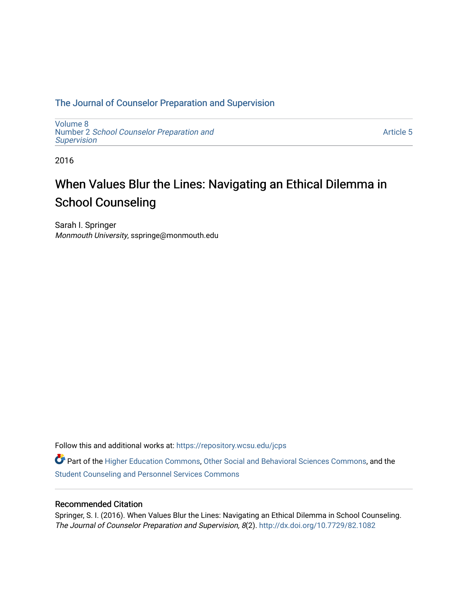# [The Journal of Counselor Preparation and Supervision](https://repository.wcsu.edu/jcps)

[Volume 8](https://repository.wcsu.edu/jcps/vol8)  Number 2 [School Counselor Preparation and](https://repository.wcsu.edu/jcps/vol8/iss2) **[Supervision](https://repository.wcsu.edu/jcps/vol8/iss2)** 

[Article 5](https://repository.wcsu.edu/jcps/vol8/iss2/5) 

2016

# When Values Blur the Lines: Navigating an Ethical Dilemma in School Counseling

Sarah I. Springer Monmouth University, sspringe@monmouth.edu

Follow this and additional works at: [https://repository.wcsu.edu/jcps](https://repository.wcsu.edu/jcps?utm_source=repository.wcsu.edu%2Fjcps%2Fvol8%2Fiss2%2F5&utm_medium=PDF&utm_campaign=PDFCoverPages) 

Part of the [Higher Education Commons,](http://network.bepress.com/hgg/discipline/1245?utm_source=repository.wcsu.edu%2Fjcps%2Fvol8%2Fiss2%2F5&utm_medium=PDF&utm_campaign=PDFCoverPages) [Other Social and Behavioral Sciences Commons,](http://network.bepress.com/hgg/discipline/437?utm_source=repository.wcsu.edu%2Fjcps%2Fvol8%2Fiss2%2F5&utm_medium=PDF&utm_campaign=PDFCoverPages) and the [Student Counseling and Personnel Services Commons](http://network.bepress.com/hgg/discipline/802?utm_source=repository.wcsu.edu%2Fjcps%2Fvol8%2Fiss2%2F5&utm_medium=PDF&utm_campaign=PDFCoverPages)

# Recommended Citation

Springer, S. I. (2016). When Values Blur the Lines: Navigating an Ethical Dilemma in School Counseling. The Journal of Counselor Preparation and Supervision, 8(2).<http://dx.doi.org/10.7729/82.1082>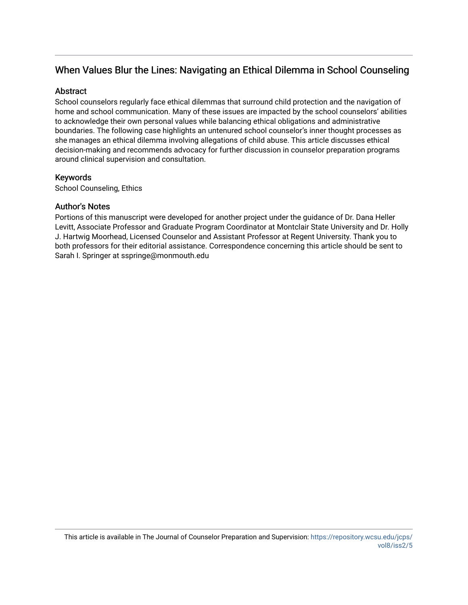# When Values Blur the Lines: Navigating an Ethical Dilemma in School Counseling

## **Abstract**

School counselors regularly face ethical dilemmas that surround child protection and the navigation of home and school communication. Many of these issues are impacted by the school counselors' abilities to acknowledge their own personal values while balancing ethical obligations and administrative boundaries. The following case highlights an untenured school counselor's inner thought processes as she manages an ethical dilemma involving allegations of child abuse. This article discusses ethical decision-making and recommends advocacy for further discussion in counselor preparation programs around clinical supervision and consultation.

# Keywords

School Counseling, Ethics

# Author's Notes

Portions of this manuscript were developed for another project under the guidance of Dr. Dana Heller Levitt, Associate Professor and Graduate Program Coordinator at Montclair State University and Dr. Holly J. Hartwig Moorhead, Licensed Counselor and Assistant Professor at Regent University. Thank you to both professors for their editorial assistance. Correspondence concerning this article should be sent to Sarah I. Springer at sspringe@monmouth.edu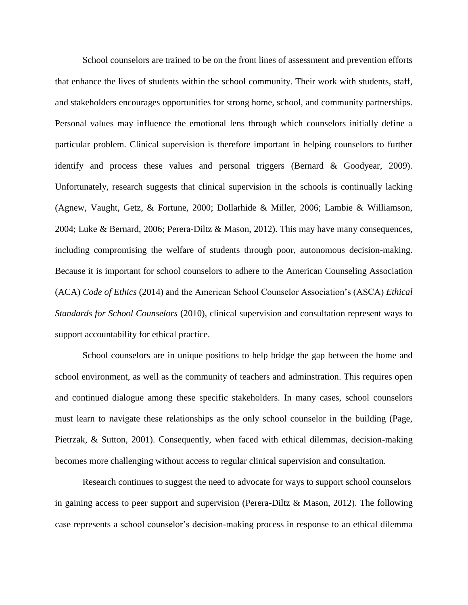School counselors are trained to be on the front lines of assessment and prevention efforts that enhance the lives of students within the school community. Their work with students, staff, and stakeholders encourages opportunities for strong home, school, and community partnerships. Personal values may influence the emotional lens through which counselors initially define a particular problem. Clinical supervision is therefore important in helping counselors to further identify and process these values and personal triggers (Bernard & Goodyear, 2009). Unfortunately, research suggests that clinical supervision in the schools is continually lacking (Agnew, Vaught, Getz, & Fortune, 2000; Dollarhide & Miller, 2006; Lambie & Williamson, 2004; Luke & Bernard, 2006; Perera-Diltz & Mason, 2012). This may have many consequences, including compromising the welfare of students through poor, autonomous decision-making. Because it is important for school counselors to adhere to the American Counseling Association (ACA) *Code of Ethics* (2014) and the American School Counselor Association's (ASCA) *Ethical Standards for School Counselors* (2010), clinical supervision and consultation represent ways to support accountability for ethical practice.

School counselors are in unique positions to help bridge the gap between the home and school environment, as well as the community of teachers and adminstration. This requires open and continued dialogue among these specific stakeholders. In many cases, school counselors must learn to navigate these relationships as the only school counselor in the building (Page, Pietrzak, & Sutton, 2001). Consequently, when faced with ethical dilemmas, decision-making becomes more challenging without access to regular clinical supervision and consultation.

Research continues to suggest the need to advocate for ways to support school counselors in gaining access to peer support and supervision (Perera-Diltz  $\&$  Mason, 2012). The following case represents a school counselor's decision-making process in response to an ethical dilemma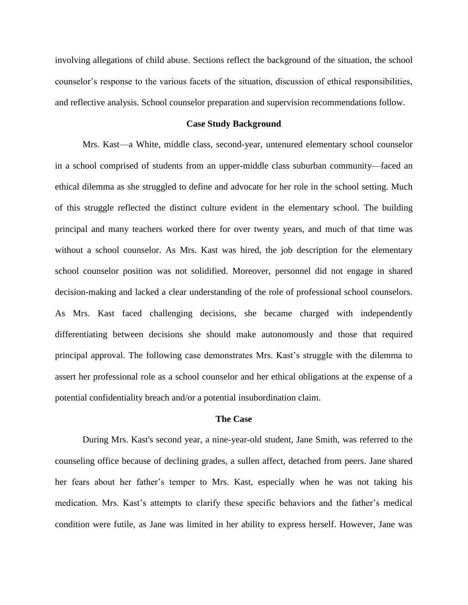involving allegations of child abuse. Sections reflect the background of the situation, the school counselor's response to the various facets of the situation, discussion of ethical responsibilities, and reflective analysis. School counselor preparation and supervision recommendations follow.

#### **Case Study Background**

Mrs. Kast—a White, middle class, second-year, untenured elementary school counselor in a school comprised of students from an upper-middle class suburban community—faced an ethical dilemma as she struggled to define and advocate for her role in the school setting. Much of this struggle reflected the distinct culture evident in the elementary school. The building principal and many teachers worked there for over twenty years, and much of that time was without a school counselor. As Mrs. Kast was hired, the job description for the elementary school counselor position was not solidified. Moreover, personnel did not engage in shared decision-making and lacked a clear understanding of the role of professional school counselors. As Mrs. Kast faced challenging decisions, she became charged with independently differentiating between decisions she should make autonomously and those that required principal approval. The following case demonstrates Mrs. Kast's struggle with the dilemma to assert her professional role as a school counselor and her ethical obligations at the expense of a potential confidentiality breach and/or a potential insubordination claim.

#### **The Case**

During Mrs. Kast's second year, a nine-year-old student, Jane Smith, was referred to the counseling office because of declining grades, a sullen affect, detached from peers. Jane shared her fears about her father's temper to Mrs. Kast, especially when he was not taking his medication. Mrs. Kast's attempts to clarify these specific behaviors and the father's medical condition were futile, as Jane was limited in her ability to express herself. However, Jane was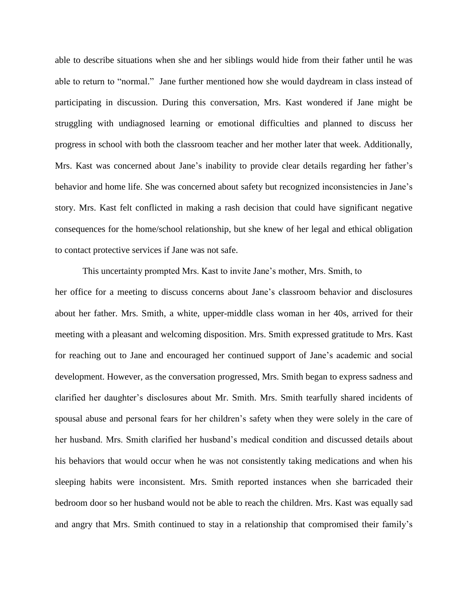able to describe situations when she and her siblings would hide from their father until he was able to return to "normal." Jane further mentioned how she would daydream in class instead of participating in discussion. During this conversation, Mrs. Kast wondered if Jane might be struggling with undiagnosed learning or emotional difficulties and planned to discuss her progress in school with both the classroom teacher and her mother later that week. Additionally, Mrs. Kast was concerned about Jane's inability to provide clear details regarding her father's behavior and home life. She was concerned about safety but recognized inconsistencies in Jane's story. Mrs. Kast felt conflicted in making a rash decision that could have significant negative consequences for the home/school relationship, but she knew of her legal and ethical obligation to contact protective services if Jane was not safe.

This uncertainty prompted Mrs. Kast to invite Jane's mother, Mrs. Smith, to her office for a meeting to discuss concerns about Jane's classroom behavior and disclosures about her father. Mrs. Smith, a white, upper-middle class woman in her 40s, arrived for their meeting with a pleasant and welcoming disposition. Mrs. Smith expressed gratitude to Mrs. Kast for reaching out to Jane and encouraged her continued support of Jane's academic and social development. However, as the conversation progressed, Mrs. Smith began to express sadness and clarified her daughter's disclosures about Mr. Smith. Mrs. Smith tearfully shared incidents of spousal abuse and personal fears for her children's safety when they were solely in the care of her husband. Mrs. Smith clarified her husband's medical condition and discussed details about his behaviors that would occur when he was not consistently taking medications and when his sleeping habits were inconsistent. Mrs. Smith reported instances when she barricaded their bedroom door so her husband would not be able to reach the children. Mrs. Kast was equally sad and angry that Mrs. Smith continued to stay in a relationship that compromised their family's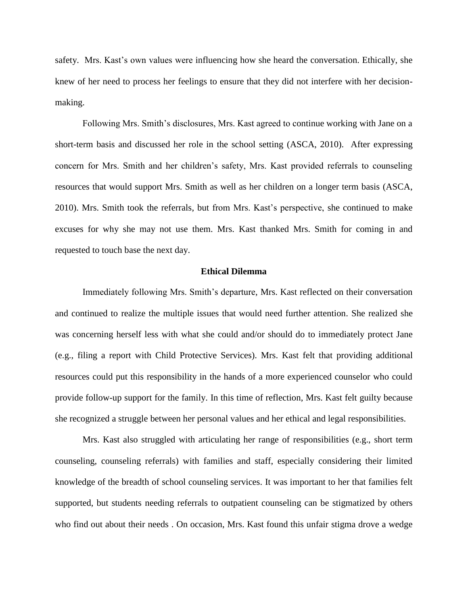safety. Mrs. Kast's own values were influencing how she heard the conversation. Ethically, she knew of her need to process her feelings to ensure that they did not interfere with her decisionmaking.

Following Mrs. Smith's disclosures, Mrs. Kast agreed to continue working with Jane on a short-term basis and discussed her role in the school setting (ASCA, 2010). After expressing concern for Mrs. Smith and her children's safety, Mrs. Kast provided referrals to counseling resources that would support Mrs. Smith as well as her children on a longer term basis (ASCA, 2010). Mrs. Smith took the referrals, but from Mrs. Kast's perspective, she continued to make excuses for why she may not use them. Mrs. Kast thanked Mrs. Smith for coming in and requested to touch base the next day.

#### **Ethical Dilemma**

Immediately following Mrs. Smith's departure, Mrs. Kast reflected on their conversation and continued to realize the multiple issues that would need further attention. She realized she was concerning herself less with what she could and/or should do to immediately protect Jane (e.g., filing a report with Child Protective Services). Mrs. Kast felt that providing additional resources could put this responsibility in the hands of a more experienced counselor who could provide follow-up support for the family. In this time of reflection, Mrs. Kast felt guilty because she recognized a struggle between her personal values and her ethical and legal responsibilities.

Mrs. Kast also struggled with articulating her range of responsibilities (e.g., short term counseling, counseling referrals) with families and staff, especially considering their limited knowledge of the breadth of school counseling services. It was important to her that families felt supported, but students needing referrals to outpatient counseling can be stigmatized by others who find out about their needs . On occasion, Mrs. Kast found this unfair stigma drove a wedge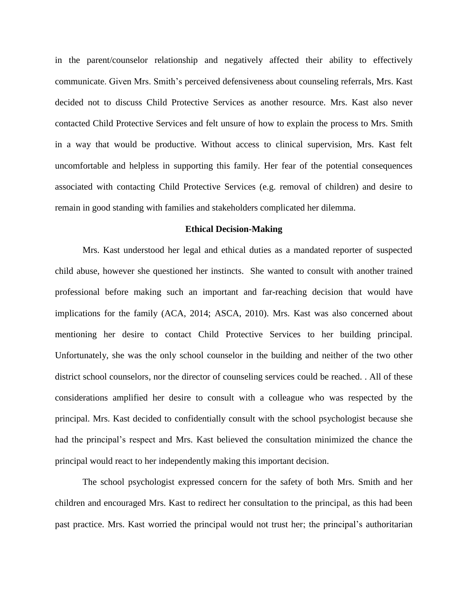in the parent/counselor relationship and negatively affected their ability to effectively communicate. Given Mrs. Smith's perceived defensiveness about counseling referrals, Mrs. Kast decided not to discuss Child Protective Services as another resource. Mrs. Kast also never contacted Child Protective Services and felt unsure of how to explain the process to Mrs. Smith in a way that would be productive. Without access to clinical supervision, Mrs. Kast felt uncomfortable and helpless in supporting this family. Her fear of the potential consequences associated with contacting Child Protective Services (e.g. removal of children) and desire to remain in good standing with families and stakeholders complicated her dilemma.

#### **Ethical Decision-Making**

Mrs. Kast understood her legal and ethical duties as a mandated reporter of suspected child abuse, however she questioned her instincts. She wanted to consult with another trained professional before making such an important and far-reaching decision that would have implications for the family (ACA, 2014; ASCA, 2010). Mrs. Kast was also concerned about mentioning her desire to contact Child Protective Services to her building principal. Unfortunately, she was the only school counselor in the building and neither of the two other district school counselors, nor the director of counseling services could be reached. . All of these considerations amplified her desire to consult with a colleague who was respected by the principal. Mrs. Kast decided to confidentially consult with the school psychologist because she had the principal's respect and Mrs. Kast believed the consultation minimized the chance the principal would react to her independently making this important decision.

The school psychologist expressed concern for the safety of both Mrs. Smith and her children and encouraged Mrs. Kast to redirect her consultation to the principal, as this had been past practice. Mrs. Kast worried the principal would not trust her; the principal's authoritarian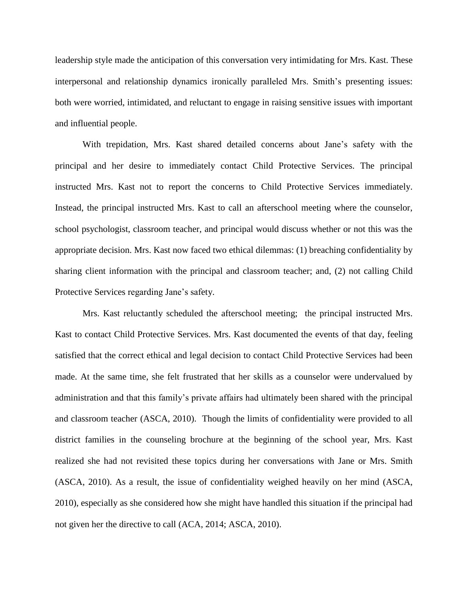leadership style made the anticipation of this conversation very intimidating for Mrs. Kast. These interpersonal and relationship dynamics ironically paralleled Mrs. Smith's presenting issues: both were worried, intimidated, and reluctant to engage in raising sensitive issues with important and influential people.

With trepidation, Mrs. Kast shared detailed concerns about Jane's safety with the principal and her desire to immediately contact Child Protective Services. The principal instructed Mrs. Kast not to report the concerns to Child Protective Services immediately. Instead, the principal instructed Mrs. Kast to call an afterschool meeting where the counselor, school psychologist, classroom teacher, and principal would discuss whether or not this was the appropriate decision. Mrs. Kast now faced two ethical dilemmas: (1) breaching confidentiality by sharing client information with the principal and classroom teacher; and, (2) not calling Child Protective Services regarding Jane's safety.

Mrs. Kast reluctantly scheduled the afterschool meeting; the principal instructed Mrs. Kast to contact Child Protective Services. Mrs. Kast documented the events of that day, feeling satisfied that the correct ethical and legal decision to contact Child Protective Services had been made. At the same time, she felt frustrated that her skills as a counselor were undervalued by administration and that this family's private affairs had ultimately been shared with the principal and classroom teacher (ASCA, 2010). Though the limits of confidentiality were provided to all district families in the counseling brochure at the beginning of the school year, Mrs. Kast realized she had not revisited these topics during her conversations with Jane or Mrs. Smith (ASCA, 2010). As a result, the issue of confidentiality weighed heavily on her mind (ASCA, 2010), especially as she considered how she might have handled this situation if the principal had not given her the directive to call (ACA, 2014; ASCA, 2010).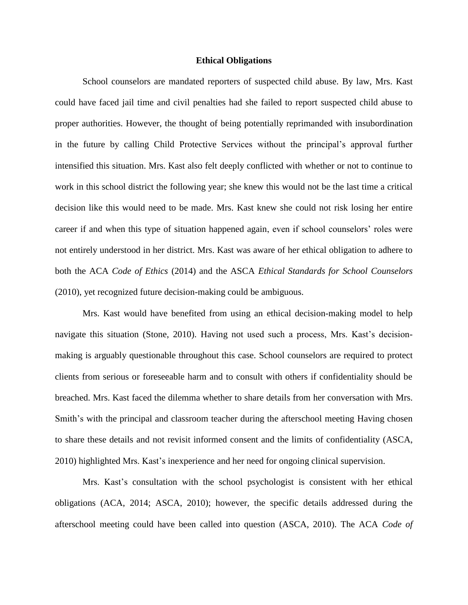#### **Ethical Obligations**

School counselors are mandated reporters of suspected child abuse. By law, Mrs. Kast could have faced jail time and civil penalties had she failed to report suspected child abuse to proper authorities. However, the thought of being potentially reprimanded with insubordination in the future by calling Child Protective Services without the principal's approval further intensified this situation. Mrs. Kast also felt deeply conflicted with whether or not to continue to work in this school district the following year; she knew this would not be the last time a critical decision like this would need to be made. Mrs. Kast knew she could not risk losing her entire career if and when this type of situation happened again, even if school counselors' roles were not entirely understood in her district. Mrs. Kast was aware of her ethical obligation to adhere to both the ACA *Code of Ethics* (2014) and the ASCA *Ethical Standards for School Counselors* (2010), yet recognized future decision-making could be ambiguous.

Mrs. Kast would have benefited from using an ethical decision-making model to help navigate this situation (Stone, 2010). Having not used such a process, Mrs. Kast's decisionmaking is arguably questionable throughout this case. School counselors are required to protect clients from serious or foreseeable harm and to consult with others if confidentiality should be breached. Mrs. Kast faced the dilemma whether to share details from her conversation with Mrs. Smith's with the principal and classroom teacher during the afterschool meeting Having chosen to share these details and not revisit informed consent and the limits of confidentiality (ASCA, 2010) highlighted Mrs. Kast's inexperience and her need for ongoing clinical supervision.

Mrs. Kast's consultation with the school psychologist is consistent with her ethical obligations (ACA, 2014; ASCA, 2010); however, the specific details addressed during the afterschool meeting could have been called into question (ASCA, 2010). The ACA *Code of*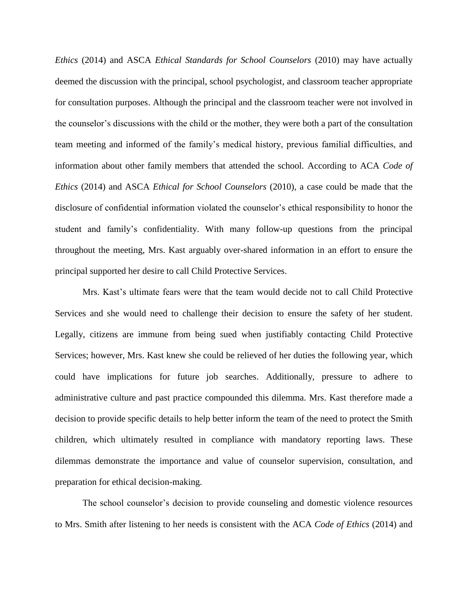*Ethics* (2014) and ASCA *Ethical Standards for School Counselors* (2010) may have actually deemed the discussion with the principal, school psychologist, and classroom teacher appropriate for consultation purposes. Although the principal and the classroom teacher were not involved in the counselor's discussions with the child or the mother, they were both a part of the consultation team meeting and informed of the family's medical history, previous familial difficulties, and information about other family members that attended the school. According to ACA *Code of Ethics* (2014) and ASCA *Ethical for School Counselors* (2010), a case could be made that the disclosure of confidential information violated the counselor's ethical responsibility to honor the student and family's confidentiality. With many follow-up questions from the principal throughout the meeting, Mrs. Kast arguably over-shared information in an effort to ensure the principal supported her desire to call Child Protective Services.

Mrs. Kast's ultimate fears were that the team would decide not to call Child Protective Services and she would need to challenge their decision to ensure the safety of her student. Legally, citizens are immune from being sued when justifiably contacting Child Protective Services; however, Mrs. Kast knew she could be relieved of her duties the following year, which could have implications for future job searches. Additionally, pressure to adhere to administrative culture and past practice compounded this dilemma. Mrs. Kast therefore made a decision to provide specific details to help better inform the team of the need to protect the Smith children, which ultimately resulted in compliance with mandatory reporting laws. These dilemmas demonstrate the importance and value of counselor supervision, consultation, and preparation for ethical decision-making.

The school counselor's decision to provide counseling and domestic violence resources to Mrs. Smith after listening to her needs is consistent with the ACA *Code of Ethics* (2014) and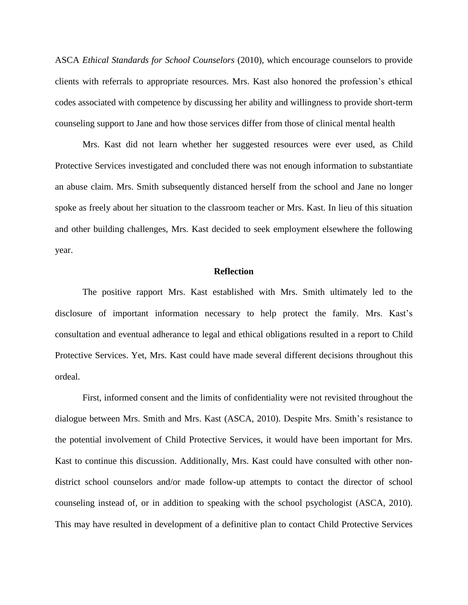ASCA *Ethical Standards for School Counselors* (2010), which encourage counselors to provide clients with referrals to appropriate resources. Mrs. Kast also honored the profession's ethical codes associated with competence by discussing her ability and willingness to provide short-term counseling support to Jane and how those services differ from those of clinical mental health

Mrs. Kast did not learn whether her suggested resources were ever used, as Child Protective Services investigated and concluded there was not enough information to substantiate an abuse claim. Mrs. Smith subsequently distanced herself from the school and Jane no longer spoke as freely about her situation to the classroom teacher or Mrs. Kast. In lieu of this situation and other building challenges, Mrs. Kast decided to seek employment elsewhere the following year.

#### **Reflection**

The positive rapport Mrs. Kast established with Mrs. Smith ultimately led to the disclosure of important information necessary to help protect the family. Mrs. Kast's consultation and eventual adherance to legal and ethical obligations resulted in a report to Child Protective Services. Yet, Mrs. Kast could have made several different decisions throughout this ordeal.

First, informed consent and the limits of confidentiality were not revisited throughout the dialogue between Mrs. Smith and Mrs. Kast (ASCA, 2010). Despite Mrs. Smith's resistance to the potential involvement of Child Protective Services, it would have been important for Mrs. Kast to continue this discussion. Additionally, Mrs. Kast could have consulted with other nondistrict school counselors and/or made follow-up attempts to contact the director of school counseling instead of, or in addition to speaking with the school psychologist (ASCA, 2010). This may have resulted in development of a definitive plan to contact Child Protective Services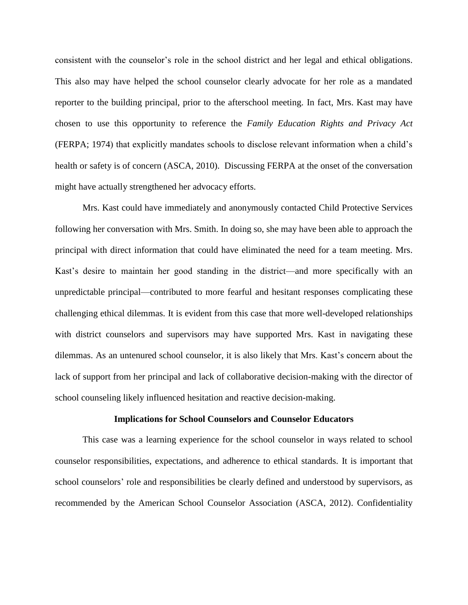consistent with the counselor's role in the school district and her legal and ethical obligations. This also may have helped the school counselor clearly advocate for her role as a mandated reporter to the building principal, prior to the afterschool meeting. In fact, Mrs. Kast may have chosen to use this opportunity to reference the *Family Education Rights and Privacy Act* (FERPA; 1974) that explicitly mandates schools to disclose relevant information when a child's health or safety is of concern (ASCA, 2010). Discussing FERPA at the onset of the conversation might have actually strengthened her advocacy efforts.

Mrs. Kast could have immediately and anonymously contacted Child Protective Services following her conversation with Mrs. Smith. In doing so, she may have been able to approach the principal with direct information that could have eliminated the need for a team meeting. Mrs. Kast's desire to maintain her good standing in the district—and more specifically with an unpredictable principal—contributed to more fearful and hesitant responses complicating these challenging ethical dilemmas. It is evident from this case that more well-developed relationships with district counselors and supervisors may have supported Mrs. Kast in navigating these dilemmas. As an untenured school counselor, it is also likely that Mrs. Kast's concern about the lack of support from her principal and lack of collaborative decision-making with the director of school counseling likely influenced hesitation and reactive decision-making.

#### **Implications for School Counselors and Counselor Educators**

This case was a learning experience for the school counselor in ways related to school counselor responsibilities, expectations, and adherence to ethical standards. It is important that school counselors' role and responsibilities be clearly defined and understood by supervisors, as recommended by the American School Counselor Association (ASCA, 2012). Confidentiality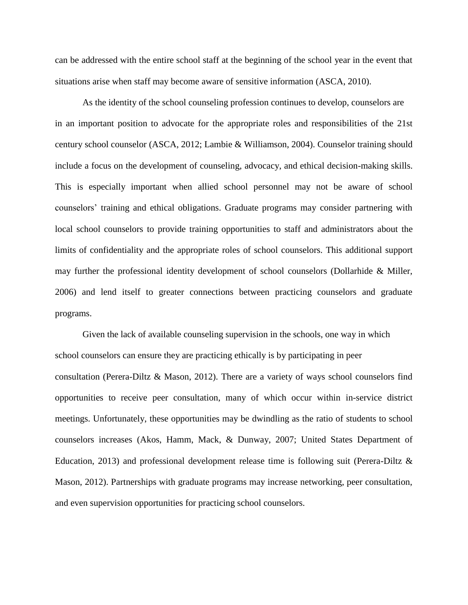can be addressed with the entire school staff at the beginning of the school year in the event that situations arise when staff may become aware of sensitive information (ASCA, 2010).

As the identity of the school counseling profession continues to develop, counselors are in an important position to advocate for the appropriate roles and responsibilities of the 21st century school counselor (ASCA, 2012; Lambie & Williamson, 2004). Counselor training should include a focus on the development of counseling, advocacy, and ethical decision-making skills. This is especially important when allied school personnel may not be aware of school counselors' training and ethical obligations. Graduate programs may consider partnering with local school counselors to provide training opportunities to staff and administrators about the limits of confidentiality and the appropriate roles of school counselors. This additional support may further the professional identity development of school counselors (Dollarhide & Miller, 2006) and lend itself to greater connections between practicing counselors and graduate programs.

Given the lack of available counseling supervision in the schools, one way in which school counselors can ensure they are practicing ethically is by participating in peer consultation (Perera-Diltz & Mason, 2012). There are a variety of ways school counselors find opportunities to receive peer consultation, many of which occur within in-service district meetings. Unfortunately, these opportunities may be dwindling as the ratio of students to school counselors increases (Akos, Hamm, Mack, & Dunway, 2007; United States Department of Education, 2013) and professional development release time is following suit (Perera-Diltz  $\&$ Mason, 2012). Partnerships with graduate programs may increase networking, peer consultation, and even supervision opportunities for practicing school counselors.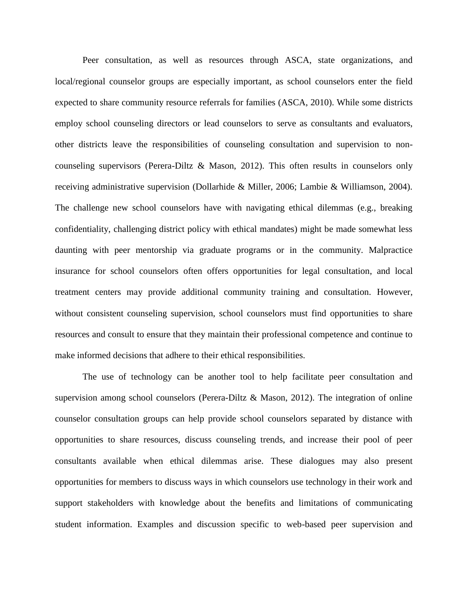Peer consultation, as well as resources through ASCA, state organizations, and local/regional counselor groups are especially important, as school counselors enter the field expected to share community resource referrals for families (ASCA, 2010). While some districts employ school counseling directors or lead counselors to serve as consultants and evaluators, other districts leave the responsibilities of counseling consultation and supervision to noncounseling supervisors (Perera-Diltz & Mason, 2012). This often results in counselors only receiving administrative supervision (Dollarhide & Miller, 2006; Lambie & Williamson, 2004). The challenge new school counselors have with navigating ethical dilemmas (e.g., breaking confidentiality, challenging district policy with ethical mandates) might be made somewhat less daunting with peer mentorship via graduate programs or in the community. Malpractice insurance for school counselors often offers opportunities for legal consultation, and local treatment centers may provide additional community training and consultation. However, without consistent counseling supervision, school counselors must find opportunities to share resources and consult to ensure that they maintain their professional competence and continue to make informed decisions that adhere to their ethical responsibilities.

The use of technology can be another tool to help facilitate peer consultation and supervision among school counselors (Perera-Diltz & Mason, 2012). The integration of online counselor consultation groups can help provide school counselors separated by distance with opportunities to share resources, discuss counseling trends, and increase their pool of peer consultants available when ethical dilemmas arise. These dialogues may also present opportunities for members to discuss ways in which counselors use technology in their work and support stakeholders with knowledge about the benefits and limitations of communicating student information. Examples and discussion specific to web-based peer supervision and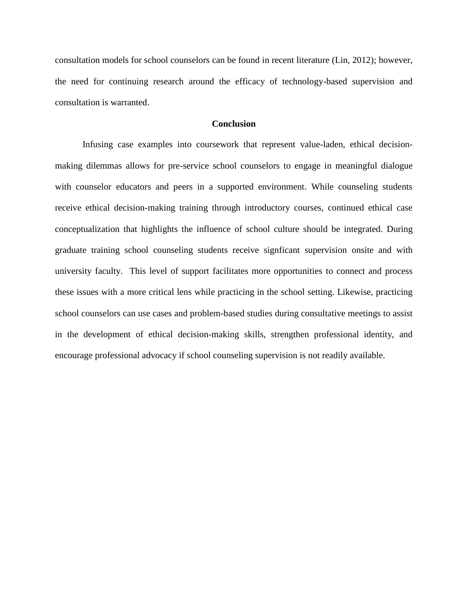consultation models for school counselors can be found in recent literature (Lin, 2012); however, the need for continuing research around the efficacy of technology-based supervision and consultation is warranted.

### **Conclusion**

Infusing case examples into coursework that represent value-laden, ethical decisionmaking dilemmas allows for pre-service school counselors to engage in meaningful dialogue with counselor educators and peers in a supported environment. While counseling students receive ethical decision-making training through introductory courses, continued ethical case conceptualization that highlights the influence of school culture should be integrated. During graduate training school counseling students receive signficant supervision onsite and with university faculty. This level of support facilitates more opportunities to connect and process these issues with a more critical lens while practicing in the school setting. Likewise, practicing school counselors can use cases and problem-based studies during consultative meetings to assist in the development of ethical decision-making skills, strengthen professional identity, and encourage professional advocacy if school counseling supervision is not readily available.